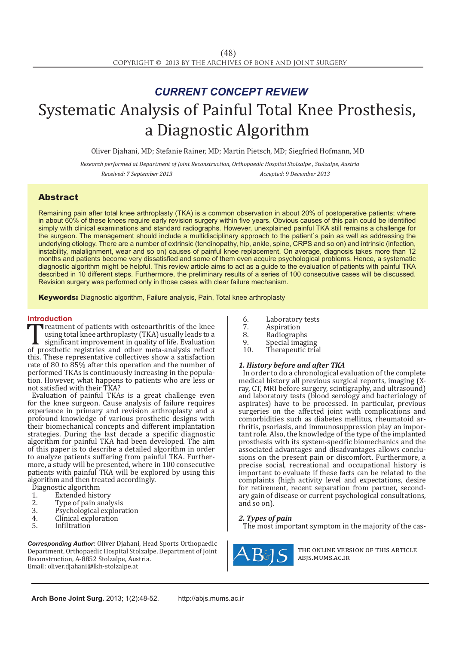# Systematic Analysis of Painful Total Knee Prosthesis, a Diagnostic Algorithm *CURRENT CONCEPT REVIEW*

Oliver Djahani, MD; Stefanie Rainer, MD; Martin Pietsch, MD; Siegfried Hofmann, MD

*Research performed at Department of Joint Reconstruction, Orthopaedic Hospital Stolzalpe , Stolzalpe, Austria Received: 7 September 2013 Accepted: 9 December 2013*

## Abstract

Remaining pain after total knee arthroplasty (TKA) is a common observation in about 20% of postoperative patients; where in about 60% of these knees require early revision surgery within five years. Obvious causes of this pain could be identified simply with clinical examinations and standard radiographs. However, unexplained painful TKA still remains a challenge for the surgeon. The management should include a multidisciplinary approach to the patient`s pain as well as addressing the underlying etiology. There are a number of extrinsic (tendinopathy, hip, ankle, spine, CRPS and so on) and intrinsic (infection, instability, malalignment, wear and so on) causes of painful knee replacement. On average, diagnosis takes more than 12 months and patients become very dissatisfied and some of them even acquire psychological problems. Hence, a systematic diagnostic algorithm might be helpful. This review article aims to act as a guide to the evaluation of patients with painful TKA described in 10 different steps. Furthermore, the preliminary results of a series of 100 consecutive cases will be discussed. Revision surgery was performed only in those cases with clear failure mechanism.

**Keywords:** Diagnostic algorithm, Failure analysis, Pain, Total knee arthroplasty

**Introduction**<br>**T T** reatment of patients with osteoarthritis of the knee Treatment of patients with osteoarthritis of the knee<br>
using total knee arthroplasty (TKA) usually leads to a<br>
significant improvement in quality of life. Evaluation<br>
of prosthetic registries and other meta-analysis reflec using total knee arthroplasty (TKA) usually leads to a significant improvement in quality of life. Evaluation this. These representative collectives show a satisfaction rate of 80 to 85% after this operation and the number of performed TKAs is continuously increasing in the population. However, what happens to patients who are less or not satisfied with their TKA?

Evaluation of painful TKAs is a great challenge even for the knee surgeon. Cause analysis of failure requires experience in primary and revision arthroplasty and a profound knowledge of various prosthetic designs with their biomechanical concepts and different implantation strategies. During the last decade a specific diagnostic algorithm for painful TKA had been developed. The aim of this paper is to describe a detailed algorithm in order to analyze patients suffering from painful TKA. Furthermore, a study will be presented, where in 100 consecutive patients with painful TKA will be explored by using this algorithm and then treated accordingly.

- 
- Extended history Type of pain analysis
- Diagnostic algorithm<br>
1. Extended hist<br>
2. Type of pain a<br>
3. Psychological
- 3. Psychological exploration<br>4. Clinical exploration
- 4. Clinical exploration<br>5. Infiltration **Infiltration**
- *Corresponding Author:* Oliver Djahani, Head Sports Orthopaedic Department, Orthopaedic Hospital Stolzalpe, Department of Joint Reconstruction, A-8852 Stolzalpe, Austria. Email: oliver.djahani@lkh-stolzalpe.at
- 6. Laboratory tests<br>7. Aspiration
- 7. Aspiration<br>8. Radiograph
- 8. Radiographs<br>9 Special imagi
- 9. Special imaging<br>10. Therapeutic tria
- Therapeutic trial

### *1. History before and after TKA*

In order to do a chronological evaluation of the complete medical history all previous surgical reports, imaging (Xray, CT, MRI before surgery, scintigraphy, and ultrasound) and laboratory tests (blood serology and bacteriology of aspirates) have to be processed. In particular, previous surgeries on the affected joint with complications and comorbidities such as diabetes mellitus, rheumatoid arthritis, psoriasis, and immunosuppression play an important role. Also, the knowledge of the type of the implanted prosthesis with its system-specific biomechanics and the associated advantages and disadvantages allows conclusions on the present pain or discomfort. Furthermore, a precise social, recreational and occupational history is important to evaluate if these facts can be related to the complaints (high activity level and expectations, desire for retirement, recent separation from partner, secondary gain of disease or current psychological consultations, and so on).

### *2. Types of pain*

The most important symptom in the majority of the cas-



the online version of this article abjs.mums.ac.ir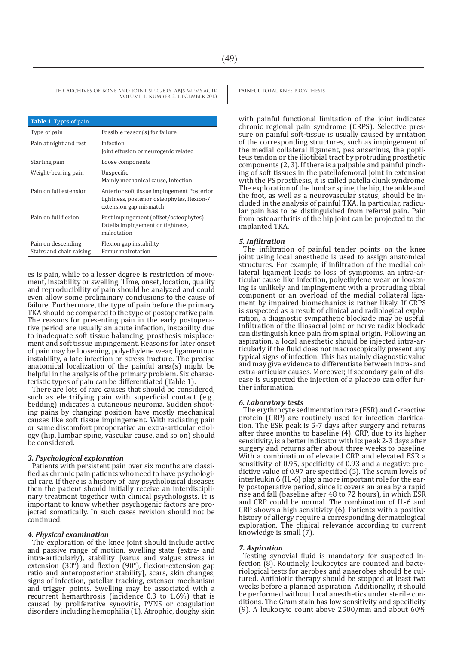THE ARCHIVES OF BONE AND JOINT SURGERY. ABIS.MUMS.AC.IR PAINFUL TOTAL KNEE PROSTHESIS VOLUME 1. NUMBER 2. DECEMBER 2013

| <b>Table 1.</b> Types of pain                  |                                                                                                                     |
|------------------------------------------------|---------------------------------------------------------------------------------------------------------------------|
| Type of pain                                   | Possible reason(s) for failure                                                                                      |
| Pain at night and rest                         | Infection<br>Joint effusion or neurogenic related                                                                   |
| Starting pain                                  | Loose components                                                                                                    |
| Weight-bearing pain                            | Unspecific<br>Mainly mechanical cause, Infection                                                                    |
| Pain on full extension                         | Anterior soft tissue impingement Posterior<br>tightness, posterior osteophytes, flexion-/<br>extension gap mismatch |
| Pain on full flexion                           | Post impingement (offset/osteophytes)<br>Patella impingement or tightness,<br>malrotation                           |
| Pain on descending<br>Stairs and chair raising | Flexion gap instability<br>Femur malrotation                                                                        |

es is pain, while to a lesser degree is restriction of move- ment, instability or swelling. Time, onset, location, quality and reproducibility of pain should be analyzed and could even allow some preliminary conclusions to the cause of failure. Furthermore, the type of pain before the primary TKA should be compared to the type of postoperative pain.<br>The reasons for presenting pain in the early postoperative period are usually an acute infection, instability due to inadequate soft tissue balancing, prosthesis misplacement and soft tissue impingement. Reasons for later onset of pain may be loosening, polyethylene wear, ligamentous instability, a late infection or stress fracture. The precise anatomical localization of the painful area(s) might be helpful in the analysis of the primary problem. Six characteristic types of pain can be differentiated (Table 1).

There are lots of rare causes that should be considered, such as electrifying pain with superficial contact (e.g., bedding) indicates a cutaneous neuroma. Sudden shooting pains by changing position have mostly mechanical causes like soft tissue impingement. With radiating pain or same discomfort preoperative an extra-articular etiology (hip, lumbar spine, vascular cause, and so on) should be considered.

#### *3. Psychological exploration*

Patients with persistent pain over six months are classified as chronic pain patients who need to have psychological care. If there is a history of any psychological diseases then the patient should initially receive an interdisciplinary treatment together with clinical psychologists. It is important to know whether psychogenic factors are projected somatically. In such cases revision should not be continued.

#### *4. Physical examination*

The exploration of the knee joint should include active and passive range of motion, swelling state (extra- and intra-articularly), stability [varus and valgus stress in extension  $(30^{\circ})$  and flexion  $(90^{\circ})$ , flexion-extension gap ratio and anteroposterior stability], scars, skin changes, signs of infection, patellar tracking, extensor mechanism and trigger points. Swelling may be associated with a recurrent hemarthrosis (incidence 0.3 to 1.6%) that is caused by proliferative synovitis, PVNS or coagulation disorders including hemophilia (1). Atrophic, doughy skin

with painful functional limitation of the joint indicates chronic regional pain syndrome (CRPS). Selective pressure on painful soft-tissue is usually caused by irritation of the corresponding structures, such as impingement of the medial collateral ligament, pes anserinus, the popliteus tendon or the iliotibial tract by protruding prosthetic ing of soft tissues in the patellofemoral joint in extension with the PS prosthesis, it is called patella clunk syndrome. The exploration of the lumbar spine, the hip, the ankle and the foot, as well as a neurovascular status, should be included in the analysis of painful TKA. In particular, radicu-<br>lar pain has to be distinguished from referral pain. Pain from osteoarthritis of the hip joint can be projected to the implanted TKA.

#### *5. Infiltration*

The infiltration of painful tender points on the knee joint using local anesthetic is used to assign anatomical structures. For example, if infiltration of the medial collateral ligament leads to loss of symptoms, an intra-articular cause like infection, polyethylene wear or loosening is unlikely and impingement with a protruding tibial component or an overload of the medial collateral ligament by impaired biomechanics is rather likely. If CRPS is suspected as a result of clinical and radiological exploration, a diagnostic sympathetic blockade may be useful. Infiltration of the iliosacral joint or nerve radix blockade can distinguish knee pain from spinal origin. Following an aspiration, a local anesthetic should be injected intra-articularly if the fluid does not macroscopically present any typical signs of infection. This has mainly diagnostic value and may give evidence to differentiate between intra- and extra-articular causes. Moreover, if secondary gain of disease is suspected the injection of a placebo can offer further information.

#### *6. Laboratory tests*

The erythrocyte sedimentation rate (ESR) and C-reactive protein (CRP) are routinely used for infection clarification. The ESR peak is 5-7 days after surgery and returns after three months to baseline (4). CRP, due to its higher sensitivity, is a better indicator with its peak 2-3 days after surgery and returns after about three weeks to baseline. With a combination of elevated CRP and elevated ESR a sensitivity of 0.95, specificity of 0.93 and a negative predictive value of 0.97 are specified (5). The serum levels of interleukin 6 (IL-6) play a more important role for the early postoperative period, since it covers an area by a rapid rise and fall (baseline after 48 to 72 hours), in which ESR and CRP could be normal. The combination of IL-6 and CRP shows a high sensitivity (6). Patients with a positive history of allergy require a corresponding dermatological exploration. The clinical relevance according to current knowledge is small (7).

#### *7. Aspiration*

Testing synovial fluid is mandatory for suspected infection (8). Routinely, leukocytes are counted and bacteriological tests for aerobes and anaerobes should be cultured. Antibiotic therapy should be stopped at least two weeks before a planned aspiration. Additionally, it should be performed without local anesthetics under sterile conditions. The Gram stain has low sensitivity and specificity (9). A leukocyte count above 2500/mm and about 60%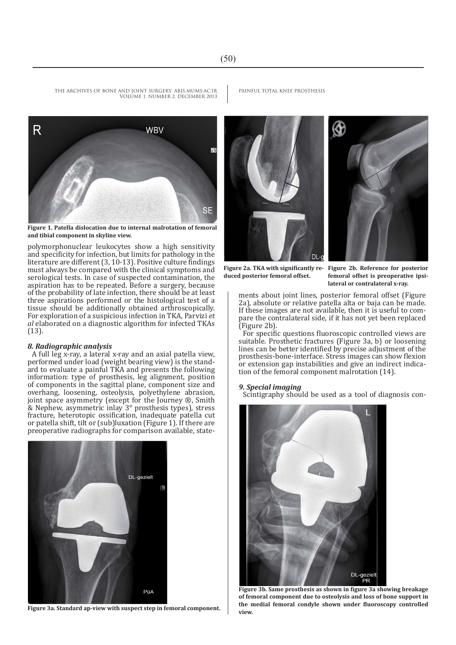THE ARCHIVES OF BONE AND JOINT SURGERY. ABIS.MUMS.AC.IR PAINFUL TOTAL KNEE PROSTHESIS VOLUME 1. NUMBER 2. DECEMBER 2013



**Figure 1. Patella dislocation due to internal malrotation of femoral and tibial component in skyline view.**

polymorphonuclear leukocytes show a high sensitivity and specificity for infection, but limits for pathology in the literature are different (3, 10-13). Positive culture findings must always be compared with the clinical symptoms and serological tests. In case of suspected contamination, the aspiration has to be repeated. Before a surgery, because of the probability of late infection, there should be at least three aspirations performed or the histological test of a tissue should be additionally obtained arthroscopically. For exploration of a suspicious infection in TKA, Parvizi *et al* elaborated on a diagnostic algorithm for infected TKAs (13).

### *8. Radiographic analysis*

A full leg x-ray, a lateral x-ray and an axial patella view, performed under load (weight bearing view) is the standard to evaluate a painful TKA and presents the following information: type of prosthesis, leg alignment, position of components in the sagittal plane, component size and overhang, loosening, osteolysis, polyethylene abrasion, joint space asymmetry (except for the Journey ®, Smith & Nephew, asymmetric inlay 3° prosthesis types), stress fracture, heterotopic ossification, inadequate patella cut or patella shift, tilt or (sub)luxation (Figure 1). If there are preoperative radiographs for comparison available, state-



**Figure 3a. Standard ap-view with suspect step in femoral component.** 



**Figure 2a. TKA with significantly reduced posterior femoral offset.**

**Figure 2b. Reference for posterior femoral offset is preoperative ipsilateral or contralateral x-ray.**

ments about joint lines, posterior femoral offset (Figure 2a), absolute or relative patella alta or baja can be made. If these images are not available, then it is useful to compare the contralateral side, if it has not yet been replaced (Figure 2b).

For specific questions fluoroscopic controlled views are suitable. Prosthetic fractures (Figure 3a, b) or loosening lines can be better identified by precise adjustment of the prosthesis-bone-interface. Stress images can show flexion or extension gap instabilities and give an indirect indication of the femoral component malrotation (14).

#### *9. Special imaging*

Scintigraphy should be used as a tool of diagnosis con-



**Figure 3b. Same prosthesis as shown in figure 3a showing breakage of femoral component due to osteolysis and loss of bone support in the medial femoral condyle shown under fluoroscopy controlled**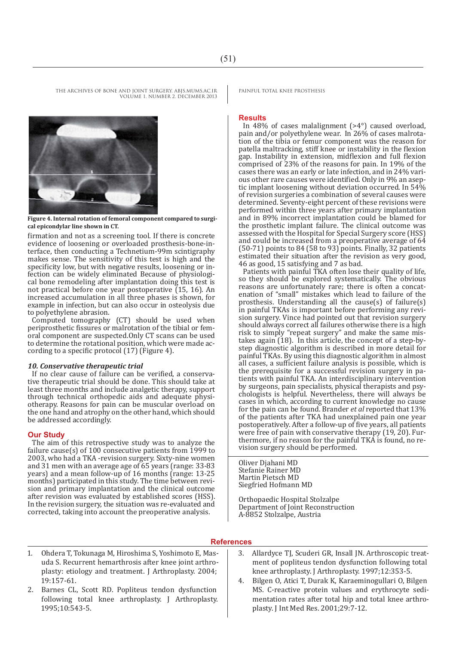THE ARCHIVES OF BONE AND JOINT SURGERY. ABJS.MUMS.AC.IR PAINFUL TOTAL KNEE PROSTHESIS VOLUME 1. NUMBER 2. DECEMBER 2013



**Figure 4. Internal rotation of femoral component compared to surgical epicondylar line shown in CT.**

firmation and not as a screening tool. If there is concrete evidence of loosening or overloaded prosthesis-bone-interface, then conducting a Technetium-99m scintigraphy makes sense. The sensitivity of this test is high and the specificity low, but with negative results, loosening or infection can be widely eliminated Because of physiological bone remodeling after implantation doing this test is not practical before one year postoperative (15, 16). An increased accumulation in all three phases is shown, for example in infection, but can also occur in osteolysis due to polyethylene abrasion.

Computed tomography (CT) should be used when periprosthetic fissures or malrotation of the tibial or femoral component are suspected.Only CT scans can be used to determine the rotational position, which were made according to a specific protocol (17) (Figure 4).

#### *10. Conservative therapeutic trial*

If no clear cause of failure can be verified, a conservative therapeutic trial should be done. This should take at least three months and include analgetic therapy, support through technical orthopedic aids and adequate physiotherapy. Reasons for pain can be muscular overload on the one hand and atrophy on the other hand, which should be addressed accordingly.

#### **Our Study**

The aim of this retrospective study was to analyze the failure cause(s) of 100 consecutive patients from 1999 to 2003, who had a TKA -revision surgery. Sixty-nine women and 31 men with an average age of 65 years (range: 33-83 years) and a mean follow-up of 16 months (range: 13-25 months) participated in this study. The time between revision and primary implantation and the clinical outcome after revision was evaluated by established scores (HSS). In the revision surgery, the situation was re-evaluated and corrected, taking into account the preoperative analysis.

#### **Results**

In 48% of cases malalignment  $(>4^{\circ})$  caused overload, pain and/or polyethylene wear. In 26% of cases malrotation of the tibia or femur component was the reason for patella maltracking, stiff knee or instability in the flexion gap. Instability in extension, midflexion and full flexion comprised of 23% of the reasons for pain. In 19% of the ous other rare causes were identified. Only in 9% an aseptic implant loosening without deviation occurred. In 54% of revision surgeries a combination of several causes were determined. Seventy-eight percent of these revisions were performed within three years after primary implantation and in 89% incorrect implantation could be blamed for the prosthetic implant failure. The clinical outcome was assessed with the Hospital for Special Surgery score (HSS) and could be increased from a preoperative average of 64 (50-71) points to 84 (58 to 93) points. Finally, 32 patients estimated their situation after the revision as very good, 46 as good, 15 satisfying and 7 as bad.

Patients with painful TKA often lose their quality of life, so they should be explored systematically. The obvious reasons are unfortunately rare; there is often a concatenation of "small" mistakes which lead to failure of the prosthesis. Understanding all the cause(s) of failure(s) in painful TKAs is important before performing any revision surgery. Vince had pointed out that revision surgery. should always correct all failures otherwise there is a high risk to simply "repeat surgery" and make the same mistakes again  $(18)$ . In this article, the concept of a step-bystep diagnostic algorithm is described in more detail for painful TKAs. By using this diagnostic algorithm in almost all cases, a sufficient failure analysis is possible, which is tients with painful TKA. An interdisciplinary intervention<br>by surgeons, pain specialists, physical therapists and psychologists is helpful. Nevertheless, there will always be cases in which, according to current knowledge no cause for the pain can be found. Brander *et al* reported that 13% of the patients after TKA had unexplained pain one year postoperatively. After a follow-up of five years, all patients were free of pain with conservative therapy (19, 20). Furthermore, if no reason for the painful TKA is found, no revision surgery should be performed.

Oliver Djahani MD Stefanie Rainer MD Martin Pietsch MD Siegfried Hofmann MD

Orthopaedic Hospital Stolzalpe Department of Joint Reconstruction A-8852 Stolzalpe, Austria

#### **References**

- 1. Ohdera T, Tokunaga M, Hiroshima S, Yoshimoto E, Masuda S. Recurrent hemarthrosis after knee joint arthroplasty: etiology and treatment. J Arthroplasty. 2004; 19:157-61.
- 2. Barnes CL, Scott RD. Popliteus tendon dysfunction following total knee arthroplasty. J Arthroplasty. 1995;10:543-5.
- 3. Allardyce TJ, Scuderi GR, Insall JN. Arthroscopic treatment of popliteus tendon dysfunction following total knee arthroplasty. J Arthroplasty. 1997;12:353-5.
- 4. Bilgen O, Atici T, Durak K, Karaeminogullari O, Bilgen MS. C-reactive protein values and erythrocyte sedimentation rates after total hip and total knee arthroplasty. J Int Med Res. 2001;29:7-12.